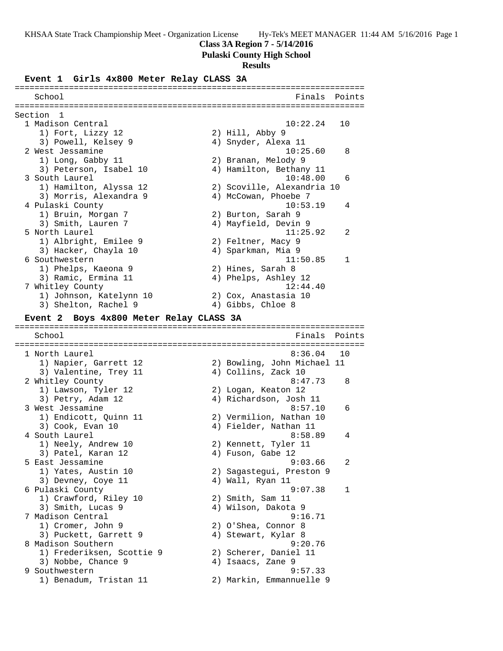### **Class 3A Region 7 - 5/14/2016**

### **Pulaski County High School**

### **Results**

### **Event 1 Girls 4x800 Meter Relay CLASS 3A**

======================================================================= School Finals Points ======================================================================= Section 1<br>1 Madison Central 1 Madison Central 10:22.24 10 1) Fort, Lizzy 12 2) Hill, Abby 9 3) Powell, Kelsey 9 (4) Snyder, Alexa 11 2 West Jessamine 10:25.60 8 1) Long, Gabby 11 2) Branan, Melody 9 3) Peterson, Isabel 10 4) Hamilton, Bethany 11 3 South Laurel 10:48.00 6 1) Hamilton, Alyssa 12 2) Scoville, Alexandria 10 3) Morris, Alexandra 9 (4) McCowan, Phoebe 7 4 Pulaski County 10:53.19 4 1) Bruin, Morgan 7 2) Burton, Sarah 9 3) Smith, Lauren 7 (4) Mayfield, Devin 9 5 North Laurel 11:25.92 2 1) Albright, Emilee 9 2) Feltner, Macy 9 3) Hacker, Chayla 10 (4) Sparkman, Mia 9 6 Southwestern 11:50.85 1 1) Phelps, Kaeona 9 2) Hines, Sarah 8 3) Ramic, Ermina 11 (4) Phelps, Ashley 12 7 Whitley County 12:44.40 1) Johnson, Katelynn 10 2) Cox, Anastasia 10 3) Shelton, Rachel 9 4) Gibbs, Chloe 8 **Event 2 Boys 4x800 Meter Relay CLASS 3A** ======================================================================= School **Finals** Points ======================================================================= 1 North Laurel 8:36.04 10 1) Napier, Garrett 12 2) Bowling, John Michael 11 3) Valentine, Trey 11 (4) Collins, Zack 10 2 Whitley County **8:47.73** 8 1) Lawson, Tyler 12 2) Logan, Keaton 12 3) Petry, Adam 12 4) Richardson, Josh 11 3 West Jessamine **8:57.10** 6 1) Endicott, Quinn 11 2) Vermilion, Nathan 10 3) Cook, Evan 10 4) Fielder, Nathan 11 4 South Laurel 8:58.89 4 1) Neely, Andrew 10 2) Kennett, Tyler 11 3) Patel, Karan 12 (4) Fuson, Gabe 12 5 East Jessamine 9:03.66 2 1) Yates, Austin 10 2) Sagastegui, Preston 9 3) Devney, Coye 11 (4) Wall, Ryan 11 6 Pulaski County 9:07.38 1 1) Crawford, Riley 10 2) Smith, Sam 11 3) Smith, Lucas 9 4) Wilson, Dakota 9 7 Madison Central 9:16.71 1) Cromer, John 9 2) O'Shea, Connor 8 3) Puckett, Garrett 9 (4) Stewart, Kylar 8 8 Madison Southern 9:20.76 1) Frederiksen, Scottie 9 2) Scherer, Daniel 11 3) Nobbe, Chance 9 4) Isaacs, Zane 9 9 Southwestern 9:57.33 1) Benadum, Tristan 11 2) Markin, Emmannuelle 9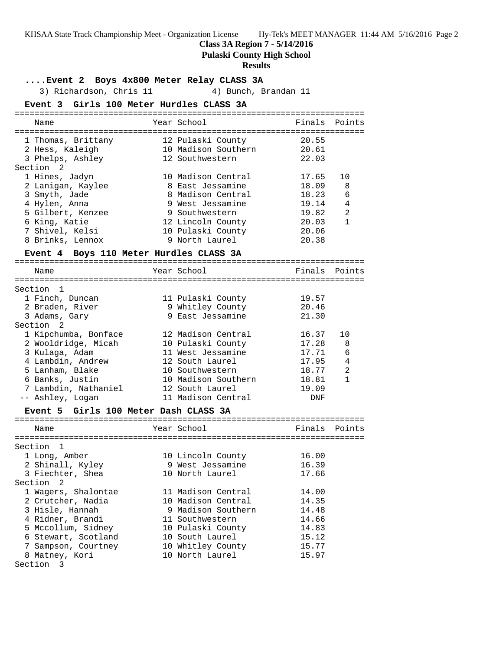**Class 3A Region 7 - 5/14/2016**

**Pulaski County High School**

### **Results**

### **....Event 2 Boys 4x800 Meter Relay CLASS 3A**

3) Richardson, Chris 11 (4) Bunch, Brandan 11

### **Event 3 Girls 100 Meter Hurdles CLASS 3A**

| Name                                                                                                                                               | Year School                                                                                                                                                   | Finals                                                               | Points                                                           |
|----------------------------------------------------------------------------------------------------------------------------------------------------|---------------------------------------------------------------------------------------------------------------------------------------------------------------|----------------------------------------------------------------------|------------------------------------------------------------------|
| 1 Thomas, Brittany<br>2 Hess, Kaleigh<br>3 Phelps, Ashley<br>Section 2                                                                             | 12 Pulaski County<br>10 Madison Southern<br>12 Southwestern                                                                                                   | 20.55<br>20.61<br>22.03                                              |                                                                  |
| 1 Hines, Jadyn<br>2 Lanigan, Kaylee<br>3 Smyth, Jade<br>4 Hylen, Anna<br>5 Gilbert, Kenzee<br>6 King, Katie<br>7 Shivel, Kelsi<br>8 Brinks, Lennox | 10 Madison Central<br>8 East Jessamine<br>8 Madison Central<br>9 West Jessamine<br>9 Southwestern<br>12 Lincoln County<br>10 Pulaski County<br>9 North Laurel | 17.65<br>18.09<br>18.23<br>19.14<br>19.82<br>20.03<br>20.06<br>20.38 | 10<br>8<br>6<br>$\overline{4}$<br>$\mathfrak{D}$<br>$\mathbf{1}$ |
| Event 4                                                                                                                                            | Boys 110 Meter Hurdles CLASS 3A                                                                                                                               |                                                                      |                                                                  |

### ======================================================================= Name The Year School The Finals Points ======================================================================= Section 1 1 Finch, Duncan 11 Pulaski County 19.57 2 Braden, River 9 Whitley County 20.46 3 Adams, Gary 9 East Jessamine 21.30 Section 2 1 Kipchumba, Bonface 12 Madison Central 16.37 10 2 Wooldridge, Micah 10 Pulaski County 17.28 8 3 Kulaga, Adam 11 West Jessamine 17.71 6 4 Lambdin, Andrew 12 South Laurel 17.95 4 5 Lanham, Blake 10 Southwestern 18.77 2 6 Banks, Justin 10 Madison Southern 18.81 1 7 Lambdin, Nathaniel 12 South Laurel 19.09 -- Ashley, Logan 11 Madison Central DNF

### **Event 5 Girls 100 Meter Dash CLASS 3A**

| Name                | Year School        | Finals Points |  |
|---------------------|--------------------|---------------|--|
|                     |                    |               |  |
| Section 1           |                    |               |  |
| 1 Long, Amber       | 10 Lincoln County  | 16.00         |  |
| 2 Shinall, Kyley    | 9 West Jessamine   | 16.39         |  |
| 3 Fiechter, Shea    | 10 North Laurel    | 17.66         |  |
| Section 2           |                    |               |  |
| 1 Wagers, Shalontae | 11 Madison Central | 14.00         |  |
| 2 Crutcher, Nadia   | 10 Madison Central | 14.35         |  |
| 3 Hisle, Hannah     | 9 Madison Southern | 14.48         |  |
| 4 Ridner, Brandi    | 11 Southwestern    | 14.66         |  |
| 5 Mccollum, Sidney  | 10 Pulaski County  | 14.83         |  |
| 6 Stewart, Scotland | 10 South Laurel    | 15.12         |  |
| 7 Sampson, Courtney | 10 Whitley County  | 15.77         |  |
| 8 Matney, Kori      | 10 North Laurel    | 15.97         |  |
| Section 3           |                    |               |  |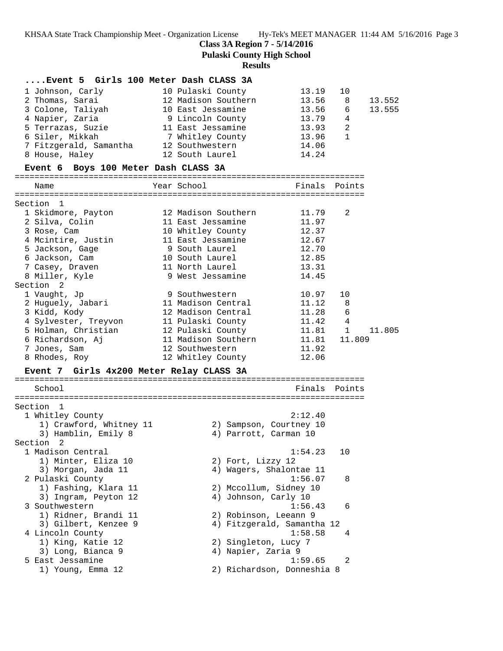**Class 3A Region 7 - 5/14/2016**

**Pulaski County High School**

### **Results**

# **....Event 5 Girls 100 Meter Dash CLASS 3A**

| 1 Johnson, Carly       | 10 Pulaski County   | 13.19 | 10             |        |
|------------------------|---------------------|-------|----------------|--------|
| 2 Thomas, Sarai        | 12 Madison Southern | 13.56 | -8             | 13.552 |
| 3 Colone, Taliyah      | 10 East Jessamine   | 13.56 | - 6            | 13.555 |
| 4 Napier, Zaria        | 9 Lincoln County    | 13.79 | $\overline{4}$ |        |
| 5 Terrazas, Suzie      | 11 East Jessamine   | 13.93 |                |        |
| 6 Siler, Mikkah        | 7 Whitley County    | 13.96 |                |        |
| 7 Fitzgerald, Samantha | 12 Southwestern     | 14.06 |                |        |
| 8 House, Haley         | 12 South Laurel     | 14.24 |                |        |
|                        |                     |       |                |        |

### **Event 6 Boys 100 Meter Dash CLASS 3A**

| Name                                                | Year School <b>Superior School</b> | Finals Points |                |
|-----------------------------------------------------|------------------------------------|---------------|----------------|
| ---------------------<br>Section 1                  |                                    |               |                |
| 1 Skidmore, Payton 12 Madison Southern              |                                    | 11.79         | $\mathfrak{D}$ |
| 2 Silva, Colin                                      | 11 East Jessamine                  | 11.97         |                |
| 3 Rose, Cam                                         | 10 Whitley County 12.37            |               |                |
| 4 Mcintire, Justin 11 East Jessamine                |                                    | 12.67         |                |
| 5 Jackson, Gage                                     | 9 South Laurel                     | 12.70         |                |
| 6 Jackson, Cam                                      | 10 South Laurel 12.85              |               |                |
| 7 Casey, Draven                                     | and the 11 North Laurel 13.31      |               |                |
| 8 Miller, Kyle                                      | 9 West Jessamine                   | 14.45         |                |
| Section 2                                           |                                    |               |                |
| 1 Vaught, Jp                                        | 9 Southwestern                     | 10.97         | 10             |
| 2 Huguely, Jabari                                   | 11 Madison Central                 | 11.12         | 8              |
| 3 Kidd, Kody                                        |                                    |               | 6              |
|                                                     |                                    | 11.42         | $\overline{4}$ |
| 5 Holman, Christian               12 Pulaski County |                                    | $11.81$ 1     | 11.805         |
|                                                     |                                    |               |                |
| 7 Jones, Sam                                        | 12 Southwestern                    | 11.92         |                |
| 8 Rhodes, Roy                                       | 12 Whitley County                  | 12.06         |                |
|                                                     |                                    |               |                |

# **Event 7 Girls 4x200 Meter Relay CLASS 3A**

=======================================================================

| Finals  | Points                                                                                                                                                                                                                                                                                |
|---------|---------------------------------------------------------------------------------------------------------------------------------------------------------------------------------------------------------------------------------------------------------------------------------------|
|         |                                                                                                                                                                                                                                                                                       |
| 2:12.40 |                                                                                                                                                                                                                                                                                       |
|         |                                                                                                                                                                                                                                                                                       |
|         |                                                                                                                                                                                                                                                                                       |
|         |                                                                                                                                                                                                                                                                                       |
| 1:54.23 | 10                                                                                                                                                                                                                                                                                    |
|         |                                                                                                                                                                                                                                                                                       |
|         |                                                                                                                                                                                                                                                                                       |
| 1:56.07 | 8                                                                                                                                                                                                                                                                                     |
|         |                                                                                                                                                                                                                                                                                       |
|         |                                                                                                                                                                                                                                                                                       |
| 1:56.43 | 6                                                                                                                                                                                                                                                                                     |
|         |                                                                                                                                                                                                                                                                                       |
|         |                                                                                                                                                                                                                                                                                       |
| 1:58.58 | 4                                                                                                                                                                                                                                                                                     |
|         |                                                                                                                                                                                                                                                                                       |
|         |                                                                                                                                                                                                                                                                                       |
| 1:59.65 | $\mathcal{L}$                                                                                                                                                                                                                                                                         |
|         |                                                                                                                                                                                                                                                                                       |
|         | 2) Sampson, Courtney 10<br>4) Parrott, Carman 10<br>2) Fort, Lizzy 12<br>4) Wagers, Shalontae 11<br>2) Mccollum, Sidney 10<br>4) Johnson, Carly 10<br>2) Robinson, Leeann 9<br>4) Fitzgerald, Samantha 12<br>2) Singleton, Lucy 7<br>4) Napier, Zaria 9<br>2) Richardson, Donneshia 8 |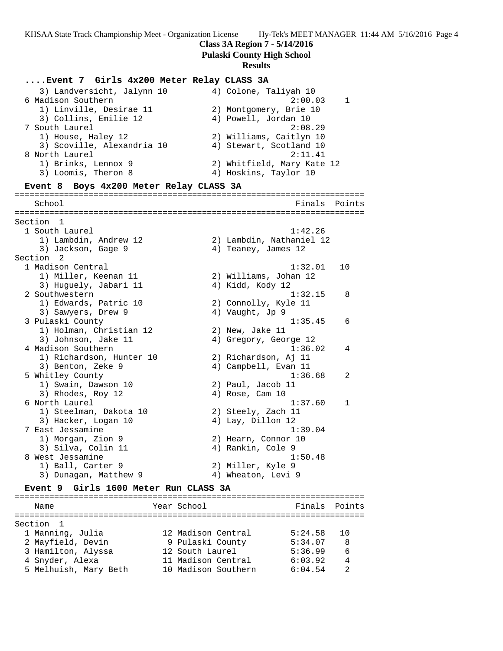**Class 3A Region 7 - 5/14/2016**

**Pulaski County High School**

### **Results**

### **....Event 7 Girls 4x200 Meter Relay CLASS 3A**

| 4) Colone, Taliyah 10      |
|----------------------------|
| 2:00.03<br>$\overline{1}$  |
| 2) Montgomery, Brie 10     |
| 4) Powell, Jordan 10       |
| 2:08.29                    |
| 2) Williams, Caitlyn 10    |
| 4) Stewart, Scotland 10    |
| 2:11.41                    |
| 2) Whitfield, Mary Kate 12 |
| 4) Hoskins, Taylor 10      |
|                            |

### **Event 8 Boys 4x200 Meter Relay CLASS 3A**

======================================================================= School **Finals** Points ======================================================================= Section 1 1 South Laurel 1:42.26 1) Lambdin, Andrew 12 2) Lambdin, Nathaniel 12 3) Jackson, Gage 9 4) Teaney, James 12 Section 2<br>1 Madison Central 1 Madison Central 1:32.01 10 1) Miller, Keenan 11 2) Williams, Johan 12 3) Huguely, Jabari 11  $\hskip10mm$  4) Kidd, Kody 12 2 Southwestern 1:32.15 8 1) Edwards, Patric 10 2) Connolly, Kyle 11 3) Sawyers, Drew 9 4) Vaught, Jp 9 3 Pulaski County 1:35.45 6 1) Holman, Christian 12 2) New, Jake 11 3) Johnson, Jake 11 4) Gregory, George 12 4 Madison Southern 1:36.02 4 1) Richardson, Hunter 10 2) Richardson, Aj 11 3) Benton, Zeke 9 4) Campbell, Evan 11 5 Whitley County 1:36.68 2 1) Swain, Dawson 10 2) Paul, Jacob 11 3) Rhodes, Roy 12 (a) 4) Rose, Cam 10 6 North Laurel 1:37.60 1 1) Steelman, Dakota 10 2) Steely, Zach 11 3) Hacker, Logan 10  $\hskip1cm 4)$  Lay, Dillon 12 7 East Jessamine 1:39.04 1) Morgan, Zion 9 2) Hearn, Connor 10 3) Silva, Colin 11 (4) Rankin, Cole 9 8 West Jessamine 2012 1:50.48 1) Ball, Carter 9 2) Miller, Kyle 9 3) Dunagan, Matthew 9  $\hskip1cm 4$ ) Wheaton, Levi 9

### **Event 9 Girls 1600 Meter Run CLASS 3A**

======================================================================= Name The Year School The Finals Points ======================================================================= Section 1 1 Manning, Julia 12 Madison Central 5:24.58 10 2 Mayfield, Devin 9 Pulaski County 5:34.07 8 3 Hamilton, Alyssa 12 South Laurel 5:36.99 6 4 Snyder, Alexa 11 Madison Central 6:03.92 4 5 Melhuish, Mary Beth 10 Madison Southern 6:04.54 2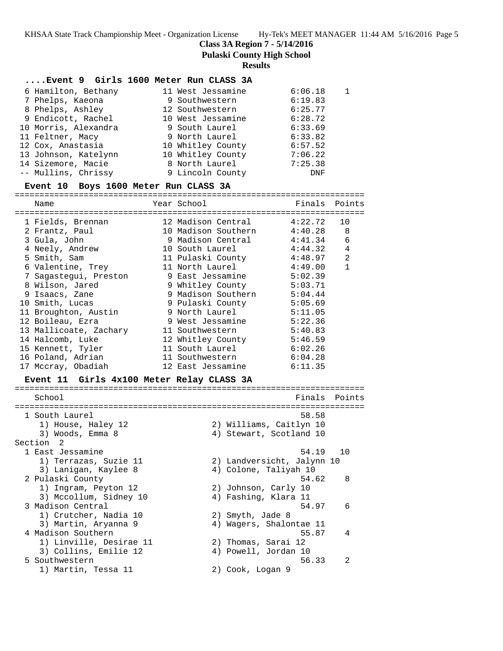**Class 3A Region 7 - 5/14/2016**

**Pulaski County High School**

### **Results**

### **....Event 9 Girls 1600 Meter Run CLASS 3A**

| 6 Hamilton, Bethany  | 11 West Jessamine | 6:06.18 |  |
|----------------------|-------------------|---------|--|
| 7 Phelps, Kaeona     | 9 Southwestern    | 6:19.83 |  |
| 8 Phelps, Ashley     | 12 Southwestern   | 6:25.77 |  |
| 9 Endicott, Rachel   | 10 West Jessamine | 6:28.72 |  |
| 10 Morris, Alexandra | 9 South Laurel    | 6:33.69 |  |
| 11 Feltner, Macy     | 9 North Laurel    | 6:33.82 |  |
| 12 Cox, Anastasia    | 10 Whitley County | 6:57.52 |  |
| 13 Johnson, Katelynn | 10 Whitley County | 7:06.22 |  |
| 14 Sizemore, Macie   | 8 North Laurel    | 7:25.38 |  |
| -- Mullins, Chrissy  | 9 Lincoln County  | DNF     |  |

### **Event 10 Boys 1600 Meter Run CLASS 3A**

=======================================================================

| Name                                      | Year School                | Finals  | Points         |
|-------------------------------------------|----------------------------|---------|----------------|
|                                           |                            |         |                |
| 1 Fields, Brennan                         | 12 Madison Central         | 4:22.72 | 10             |
| 2 Frantz, Paul                            | 10 Madison Southern        | 4:40.28 | 8              |
| 3 Gula, John                              | 9 Madison Central          | 4:41.34 | $\epsilon$     |
| 4 Neely, Andrew                           | 10 South Laurel            | 4:44.32 | 4              |
| 5 Smith, Sam                              | 11 Pulaski County          | 4:48.97 | $\overline{2}$ |
| 6 Valentine, Trey                         | 11 North Laurel            | 4:49.00 | $\mathbf{1}$   |
| 7 Sagastegui, Preston                     | 9 East Jessamine           | 5:02.39 |                |
| 8 Wilson, Jared                           | 9 Whitley County           | 5:03.71 |                |
| 9 Isaacs, Zane                            | 9 Madison Southern         | 5:04.44 |                |
| 10 Smith, Lucas                           | 9 Pulaski County           | 5:05.69 |                |
| 11 Broughton, Austin                      | 9 North Laurel             | 5:11.05 |                |
| 12 Boileau, Ezra                          | 9 West Jessamine           | 5:22.36 |                |
| 13 Mallicoate, Zachary                    | 11 Southwestern            | 5:40.83 |                |
| 14 Halcomb, Luke                          | 12 Whitley County          | 5:46.59 |                |
| 15 Kennett, Tyler                         | 11 South Laurel            | 6:02.26 |                |
| 16 Poland, Adrian                         | 11 Southwestern            | 6:04.28 |                |
| 17 Mccray, Obadiah                        | 12 East Jessamine          | 6:11.35 |                |
| Event 11 Girls 4x100 Meter Relay CLASS 3A |                            |         |                |
| School                                    |                            | Finals  | Points         |
|                                           |                            |         |                |
| 1 South Laurel                            |                            | 58.58   |                |
| 1) House, Haley 12                        | 2) Williams, Caitlyn 10    |         |                |
| 3) Woods, Emma 8                          | 4) Stewart, Scotland 10    |         |                |
| Section<br>2                              |                            |         |                |
| 1 East Jessamine                          |                            | 54.19   | 10             |
| 1) Terrazas, Suzie 11                     | 2) Landversicht, Jalynn 10 |         |                |
| 3) Lanigan, Kaylee 8                      | 4) Colone, Taliyah 10      |         |                |
| 2 Pulaski County                          |                            | 54.62   | 8              |
| 1) Ingram, Peyton 12                      | 2) Johnson, Carly 10       |         |                |
| 3) Mccollum, Sidney 10                    | 4) Fashing, Klara 11       |         |                |
| 3 Madison Central                         |                            | 54.97   | 6              |
| 1) Crutcher, Nadia 10                     | 2) Smyth, Jade 8           |         |                |
| 3) Martin, Aryanna 9                      | 4) Wagers, Shalontae 11    |         |                |
| 4 Madison Southern                        |                            | 55.87   | 4              |
| 1) Linville, Desirae 11                   | 2) Thomas, Sarai 12        |         |                |
| 3) Collins, Emilie 12                     | 4) Powell, Jordan 10       |         |                |
| 5 Southwestern                            |                            | 56.33   | 2              |
| 1) Martin, Tessa 11                       | 2) Cook, Logan 9           |         |                |
|                                           |                            |         |                |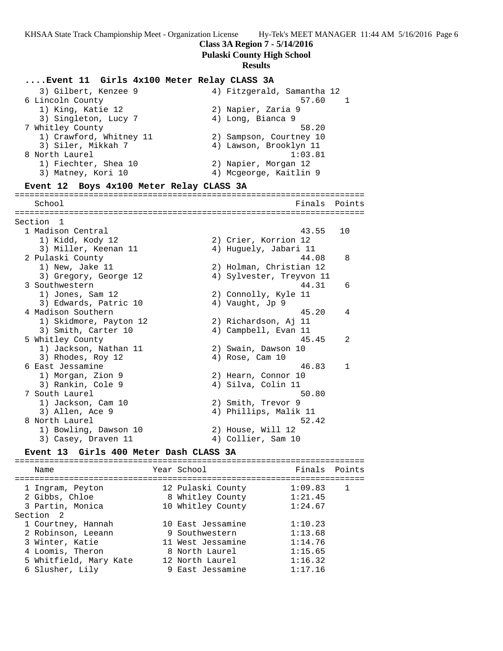### **Class 3A Region 7 - 5/14/2016**

**Pulaski County High School**

### **Results**

### **....Event 11 Girls 4x100 Meter Relay CLASS 3A**

| 3) Gilbert, Kenzee 9    | 4) Fitzgerald, Samantha 12 |
|-------------------------|----------------------------|
| 6 Lincoln County        | 57.60                      |
| 1) King, Katie 12       | 2) Napier, Zaria 9         |
| 3) Singleton, Lucy 7    | 4) Long, Bianca 9          |
| 7 Whitley County        | 58.20                      |
| 1) Crawford, Whitney 11 | 2) Sampson, Courtney 10    |
| 3) Siler, Mikkah 7      | 4) Lawson, Brooklyn 11     |
| 8 North Laurel          | 1:03.81                    |
| 1) Fiechter, Shea 10    | 2) Napier, Morgan 12       |
| 3) Matney, Kori 10      | 4) Mcgeorge, Kaitlin 9     |
|                         |                            |

**Event 12 Boys 4x100 Meter Relay CLASS 3A** ======================================================================= School **Finals** Points ======================================================================= Section 1 1 Madison Central 43.55 10 1) Kidd, Kody 12 2) Crier, Korrion 12 3) Miller, Keenan 11 4) Huguely, Jabari 11 2 Pulaski County 44.08 8 1) New, Jake 11 2) Holman, Christian 12 3) Gregory, George 12 4) Sylvester, Treyvon 11 3 Southwestern 44.31 6 1) Jones, Sam 12 2) Connolly, Kyle 11 3) Edwards, Patric 10 (4) Vaught, Jp 9 4 Madison Southern 45.20 4 1) Skidmore, Payton 12 2) Richardson, Aj 11 3) Smith, Carter 10 (4) Campbell, Evan 11 5 Whitley County 45.45 2 1) Jackson, Nathan 11  $\qquad \qquad$  2) Swain, Dawson 10 3) Rhodes, Roy 12 (a) 4) Rose, Cam 10 6 East Jessamine 46.83 1 1) Morgan, Zion 9 2) Hearn, Connor 10 3) Rankin, Cole 9 (4) Silva, Colin 11 7 South Laurel 50.80 1) Jackson, Cam 10 2) Smith, Trevor 9 3) Allen, Ace 9 4) Phillips, Malik 11 8 North Laurel 52.42 1) Bowling, Dawson 10 2) House, Will 12 3) Casey, Draven 11 (4) Collier, Sam 10 **Event 13 Girls 400 Meter Dash CLASS 3A**

======================================================================= Name Tear School Tear School Finals Points ======================================================================= 1 Ingram, Peyton 12 Pulaski County 1:09.83 1 2 Gibbs, Chloe 8 Whitley County 1:21.45 3 Partin, Monica 10 Whitley County 1:24.67 Section 2 1 Courtney, Hannah 10 East Jessamine 1:10.23 2 Robinson, Leeann 9 Southwestern 1:13.68 3 Winter, Katie 11 West Jessamine 1:14.76 4 Loomis, Theron 8 North Laurel 1:15.65 5 Whitfield, Mary Kate 12 North Laurel 1:16.32 6 Slusher, Lily 9 East Jessamine 1:17.16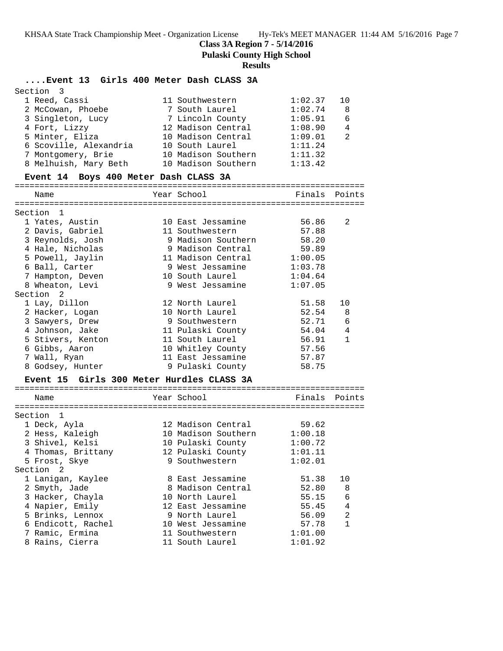**Class 3A Region 7 - 5/14/2016**

**Pulaski County High School**

### **Results**

### **....Event 13 Girls 400 Meter Dash CLASS 3A**

| Section 3              |                     |         |                |
|------------------------|---------------------|---------|----------------|
| 1 Reed, Cassi          | 11 Southwestern     | 1:02.37 | 10             |
| 2 McCowan, Phoebe      | 7 South Laurel      | 1:02.74 | -8             |
| 3 Singleton, Lucy      | 7 Lincoln County    | 1:05.91 | 6              |
| 4 Fort, Lizzy          | 12 Madison Central  | 1:08.90 | $\overline{4}$ |
| 5 Minter, Eliza        | 10 Madison Central  | 1:09.01 | $\mathfrak{D}$ |
| 6 Scoville, Alexandria | 10 South Laurel     | 1:11.24 |                |
| 7 Montgomery, Brie     | 10 Madison Southern | 1:11.32 |                |
| 8 Melhuish, Mary Beth  | 10 Madison Southern | 1:13.42 |                |

### **Event 14 Boys 400 Meter Dash CLASS 3A**

=======================================================================

| Name                                      | Year School         | Finals        | Points         |
|-------------------------------------------|---------------------|---------------|----------------|
| Section<br>1                              |                     |               |                |
| 1 Yates, Austin                           | 10 East Jessamine   | 56.86         | 2              |
| 2 Davis, Gabriel                          | 11 Southwestern     | 57.88         |                |
| 3 Reynolds, Josh                          | 9 Madison Southern  | 58.20         |                |
| 4 Hale, Nicholas                          | 9 Madison Central   | 59.89         |                |
| 5 Powell, Jaylin                          | 11 Madison Central  | 1:00.05       |                |
| 6 Ball, Carter                            | 9 West Jessamine    | 1:03.78       |                |
| 7 Hampton, Deven                          | 10 South Laurel     | 1:04.64       |                |
| 8 Wheaton, Levi                           | 9 West Jessamine    | 1:07.05       |                |
| Section<br>2                              |                     |               |                |
| 1 Lay, Dillon                             | 12 North Laurel     | 51.58         | 10             |
| 2 Hacker, Logan                           | 10 North Laurel     | 52.54         | 8              |
| 3 Sawyers, Drew                           | 9 Southwestern      | 52.71         | 6              |
| 4 Johnson, Jake                           | 11 Pulaski County   | 54.04         | 4              |
| 5 Stivers, Kenton                         | 11 South Laurel     | 56.91         | $\mathbf{1}$   |
| 6 Gibbs, Aaron                            | 10 Whitley County   | 57.56         |                |
| 7 Wall, Ryan                              | 11 East Jessamine   | 57.87         |                |
| 8 Godsey, Hunter                          | 9 Pulaski County    | 58.75         |                |
| Event 15 Girls 300 Meter Hurdles CLASS 3A |                     |               |                |
|                                           |                     |               |                |
| Name                                      | Year School         | Finals Points |                |
| Section 1                                 |                     |               |                |
| 1 Deck, Ayla                              | 12 Madison Central  | 59.62         |                |
| 2 Hess, Kaleigh                           | 10 Madison Southern | 1:00.18       |                |
| 3 Shivel, Kelsi                           | 10 Pulaski County   | 1:00.72       |                |
| 4 Thomas, Brittany                        | 12 Pulaski County   | 1:01.11       |                |
| 5 Frost, Skye                             | 9 Southwestern      | 1:02.01       |                |
| Section <sub>2</sub>                      |                     |               |                |
| 1 Lanigan, Kaylee                         | 8 East Jessamine    | 51.38         | 10             |
| 2 Smyth, Jade                             | 8 Madison Central   | 52.80         | 8              |
| 3 Hacker, Chayla                          | 10 North Laurel     | 55.15         | 6              |
| 4 Napier, Emily                           | 12 East Jessamine   | 55.45         | $\overline{4}$ |
| 5 Brinks, Lennox                          | 9 North Laurel      | 56.09         | $\overline{2}$ |
| 6 Endicott, Rachel                        | 10 West Jessamine   | 57.78         | $\mathbf{1}$   |
| 7 Ramic, Ermina                           | 11 Southwestern     | 1:01.00       |                |
| 8 Rains, Cierra                           | 11 South Laurel     | 1:01.92       |                |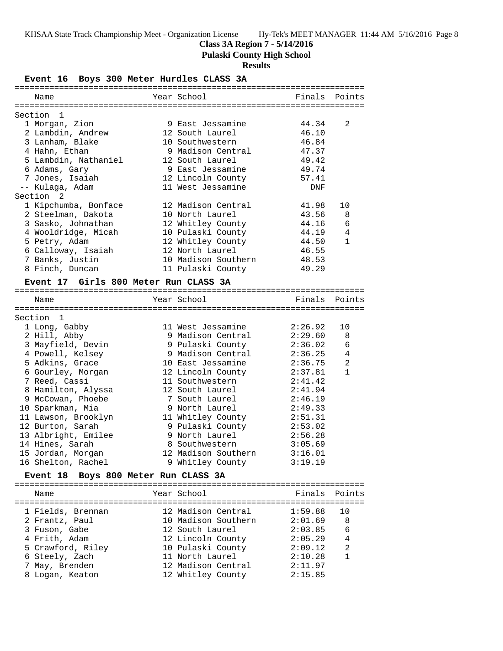### **Class 3A Region 7 - 5/14/2016**

**Pulaski County High School**

### **Results**

**Event 16 Boys 300 Meter Hurdles CLASS 3A**

| Name                                              |  | Year School and the School            |                    | Finals Points  |  |  |  |
|---------------------------------------------------|--|---------------------------------------|--------------------|----------------|--|--|--|
| Section<br>$\mathbf{1}$                           |  |                                       |                    |                |  |  |  |
| 1 Morgan, Zion                                    |  | 9 East Jessamine                      | 44.34              | $\overline{2}$ |  |  |  |
| 2 Lambdin, Andrew                                 |  | 12 South Laurel                       | 46.10              |                |  |  |  |
| 3 Lanham, Blake                                   |  | 10 Southwestern                       | 46.84              |                |  |  |  |
| 4 Hahn, Ethan                                     |  | 9 Madison Central                     | 47.37              |                |  |  |  |
|                                                   |  |                                       | 49.42              |                |  |  |  |
|                                                   |  |                                       | 49.74              |                |  |  |  |
|                                                   |  |                                       | 57.41              |                |  |  |  |
|                                                   |  | ll West Jessamine                     | DNF                |                |  |  |  |
| Section <sub>2</sub>                              |  |                                       |                    |                |  |  |  |
| 1 Kipchumba, Bonface                              |  | 12 Madison Central                    | 41.98              | 10             |  |  |  |
| 2 Steelman, Dakota                                |  | 10 North Laurel                       | 43.56              | 8              |  |  |  |
| 3 Sasko, Johnathan                                |  | 12 Whitley County                     | 44.16              | 6              |  |  |  |
| 4 Wooldridge, Micah                               |  | 10 Pulaski County                     | 44.19              | $\overline{4}$ |  |  |  |
| 5 Petry, Adam                                     |  | 12 Whitley County                     | 44.50              | $\mathbf 1$    |  |  |  |
| 6 Calloway, Isaiah                                |  | 12 North Laurel                       | 46.55              |                |  |  |  |
| 7 Banks, Justin                                   |  | 10 Madison Southern                   | 48.53              |                |  |  |  |
| 8 Finch, Duncan                                   |  | 11 Pulaski County                     | 49.29              |                |  |  |  |
| Event 17 Girls 800 Meter Run CLASS 3A             |  |                                       |                    |                |  |  |  |
| Name                                              |  | Year School <b>Super</b>              | Finals Points      |                |  |  |  |
|                                                   |  |                                       |                    |                |  |  |  |
| Section 1                                         |  |                                       |                    |                |  |  |  |
| 1 Long, Gabby                                     |  | 11 West Jessamine                     | 2:26.92            | 10             |  |  |  |
| 2 Hill, Abby<br>2 Hill, Abby<br>3 Mayfield, Devin |  | 9 Madison Central<br>9 Pulaski County | 2:29.60<br>2:36.02 | 8              |  |  |  |
|                                                   |  |                                       |                    | 6              |  |  |  |
| 4 Powell, Kelsey                                  |  | 9 Madison Central                     | 2:36.25            | $\overline{4}$ |  |  |  |
| 5 Adkins, Grace                                   |  | 10 East Jessamine                     | 2:36.75            | 2              |  |  |  |
| 6 Gourley, Morgan                                 |  | 12 Lincoln County<br>11 Southwestern  | 2:37.81            | $\mathbf{1}$   |  |  |  |
| 7 Reed, Cassi                                     |  |                                       | 2:41.42            |                |  |  |  |
| 8 Hamilton, Alyssa                                |  | 12 South Laurel                       | 2:41.94            |                |  |  |  |
| 9 McCowan, Phoebe                                 |  | 7 South Laurel                        | 2:46.19            |                |  |  |  |
| 10 Sparkman, Mia                                  |  | 9 North Laurel                        | 2:49.33            |                |  |  |  |
| 11 Lawson, Brooklyn                               |  | 11 Whitley County<br>9 Pulaski County | 2:51.31            |                |  |  |  |
| 12 Burton, Sarah                                  |  |                                       | 2:53.02            |                |  |  |  |
| 13 Albright, Emilee                               |  | 9 North Laurel                        | 2:56.28            |                |  |  |  |
| 14 Hines, Sarah                                   |  | 8 Southwestern                        | 3:05.69            |                |  |  |  |
| 15 Jordan, Morgan                                 |  | 12 Madison Southern                   | 3:16.01            |                |  |  |  |
| 16 Shelton, Rachel                                |  | 9 Whitley County 3:19.19              |                    |                |  |  |  |
| Event 18 Boys 800 Meter Run CLASS 3A              |  |                                       |                    |                |  |  |  |

Name The Year School The Finals Points ======================================================================= 1 Fields, Brennan 12 Madison Central 1:59.88 10 2 Frantz, Paul 10 Madison Southern 2:01.69 8 3 Fuson, Gabe 12 South Laurel 2:03.85 6 4 Frith, Adam 12 Lincoln County 2:05.29 4 5 Crawford, Riley 10 Pulaski County 2:09.12 2 6 Steely, Zach 11 North Laurel 2:10.28 1 7 May, Brenden 12 Madison Central 2:11.97 8 Logan, Keaton 12 Whitley County 2:15.85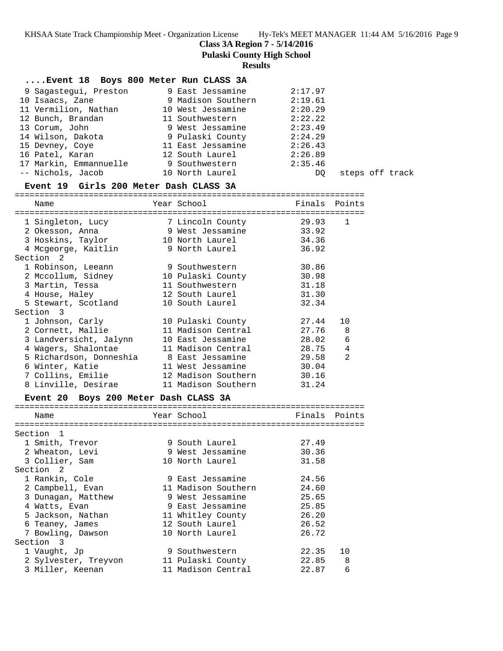**Class 3A Region 7 - 5/14/2016**

**Pulaski County High School**

### **Results**

### **....Event 18 Boys 800 Meter Run CLASS 3A**

| 9 Sagastegui, Preston  | 9 East Jessamine   | 2:17.97                |
|------------------------|--------------------|------------------------|
| 10 Isaacs, Zane        | 9 Madison Southern | 2:19.61                |
| 11 Vermilion, Nathan   | 10 West Jessamine  | 2:20.29                |
| 12 Bunch, Brandan      | 11 Southwestern    | 2:22.22                |
| 13 Corum, John         | 9 West Jessamine   | 2:23.49                |
| 14 Wilson, Dakota      | 9 Pulaski County   | 2:24.29                |
| 15 Devney, Coye        | 11 East Jessamine  | 2:26.43                |
| 16 Patel, Karan        | 12 South Laurel    | 2:26.89                |
| 17 Markin, Emmannuelle | 9 Southwestern     | 2:35.46                |
| -- Nichols, Jacob      | 10 North Laurel    | steps off track<br>DO. |
|                        |                    |                        |

### **Event 19 Girls 200 Meter Dash CLASS 3A**

=======================================================================

| Name                                                 | Year School              | Finals Points |                 |
|------------------------------------------------------|--------------------------|---------------|-----------------|
|                                                      | ----------------         |               |                 |
|                                                      |                          | 29.93         | 1               |
| 2 Okesson, Anna (2008) 9 West Jessamine (2018) 33.92 |                          |               |                 |
| 3 Hoskins, Taylor                                    | 10 North Laurel          | 34.36         |                 |
| 4 Mcgeorge, Kaitlin                                  | 9 North Laurel           | 36.92         |                 |
| Section 2                                            |                          |               |                 |
| 1 Robinson, Leeann                                   | 9 Southwestern           | 30.86         |                 |
| 2 Mccollum, Sidney                                   | 10 Pulaski County        | 30.98         |                 |
| 3 Martin, Tessa                                      | 11 Southwestern          | 31.18         |                 |
| 4 House, Haley                                       | 12 South Laurel          | 31.30         |                 |
| 5 Stewart, Scotland                                  | 10 South Laurel          | 32.34         |                 |
| Section 3                                            |                          |               |                 |
| 1 Johnson, Carly                                     | 10 Pulaski County        | 27.44         | 10              |
| 2 Cornett, Mallie                                    | 11 Madison Central       | 27.76 8       |                 |
| 3 Landversicht, Jalynn                               | 10 East Jessamine        | 28.02         | $6\phantom{1}6$ |
| 4 Wagers, Shalontae                                  | 11 Madison Central 28.75 |               | $\overline{4}$  |
| 5 Richardson, Donneshia      8 East Jessamine        |                          | 29.58         | $\mathfrak{D}$  |
| 6 Winter, Katie                                      | 11 West Jessamine        | 30.04         |                 |
| 7 Collins, Emilie                                    | 12 Madison Southern      | 30.16         |                 |
| 8 Linville, Desirae                                  | 11 Madison Southern      | 31.24         |                 |

### **Event 20 Boys 200 Meter Dash CLASS 3A**

| Name                 | Year School         | Finals | Points |
|----------------------|---------------------|--------|--------|
|                      |                     |        |        |
| Section 1            |                     |        |        |
| 1 Smith, Trevor      | 9 South Laurel      | 27.49  |        |
| 2 Wheaton, Levi      | 9 West Jessamine    | 30.36  |        |
| 3 Collier, Sam       | 10 North Laurel     | 31.58  |        |
| Section 2            |                     |        |        |
| 1 Rankin, Cole       | 9 East Jessamine    | 24.56  |        |
| 2 Campbell, Evan     | 11 Madison Southern | 24.60  |        |
| 3 Dunagan, Matthew   | 9 West Jessamine    | 25.65  |        |
| 4 Watts, Evan        | 9 East Jessamine    | 25.85  |        |
| 5 Jackson, Nathan    | 11 Whitley County   | 26.20  |        |
| 6 Teaney, James      | 12 South Laurel     | 26.52  |        |
| 7 Bowling, Dawson    | 10 North Laurel     | 26.72  |        |
| Section 3            |                     |        |        |
| 1 Vaught, Jp         | 9 Southwestern      | 22.35  | 10     |
| 2 Sylvester, Treyvon | 11 Pulaski County   | 22.85  | - 8    |
| 3 Miller, Keenan     | 11 Madison Central  | 22.87  | 6      |
|                      |                     |        |        |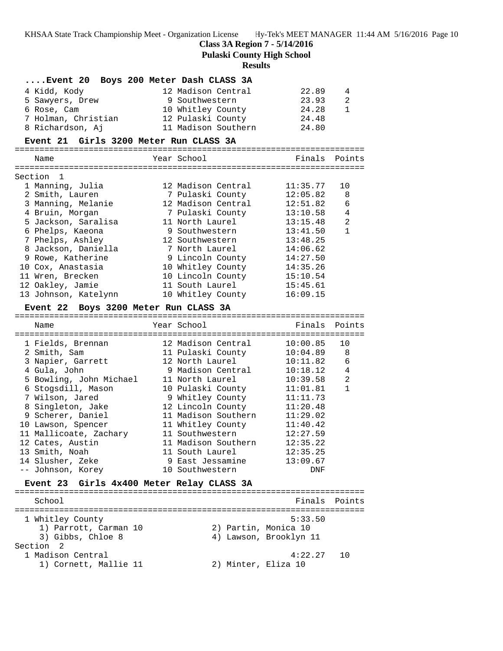**Class 3A Region 7 - 5/14/2016**

**Pulaski County High School**

### **Results**

|                     |  | Event 20 Boys 200 Meter Dash CLASS 3A |       |                |
|---------------------|--|---------------------------------------|-------|----------------|
| 4 Kidd, Kody        |  | 12 Madison Central                    | 22.89 | $\overline{4}$ |
| 5 Sawyers, Drew     |  | 9 Southwestern                        | 23.93 | 2              |
| 6 Rose, Cam         |  | 10 Whitley County                     | 24.28 | $\mathbf{1}$   |
| 7 Holman, Christian |  | 12 Pulaski County                     | 24.48 |                |
| 8 Richardson, Aj    |  | 11 Madison Southern                   | 24.80 |                |

### **Event 21 Girls 3200 Meter Run CLASS 3A**

| Name                 | Year School        | Finals   | Points         |
|----------------------|--------------------|----------|----------------|
|                      |                    |          |                |
| Section 1            |                    |          |                |
| 1 Manning, Julia     | 12 Madison Central | 11:35.77 | 1 O            |
| 2 Smith, Lauren      | 7 Pulaski County   | 12:05.82 | 8              |
| 3 Manning, Melanie   | 12 Madison Central | 12:51.82 | 6              |
| 4 Bruin, Morgan      | 7 Pulaski County   | 13:10.58 | 4              |
| 5 Jackson, Saralisa  | 11 North Laurel    | 13:15.48 | $\mathfrak{D}$ |
| 6 Phelps, Kaeona     | 9 Southwestern     | 13:41.50 |                |
| 7 Phelps, Ashley     | 12 Southwestern    | 13:48.25 |                |
| 8 Jackson, Daniella  | 7 North Laurel     | 14:06.62 |                |
| 9 Rowe, Katherine    | 9 Lincoln County   | 14:27.50 |                |
| 10 Cox, Anastasia    | 10 Whitley County  | 14:35.26 |                |
| 11 Wren, Brecken     | 10 Lincoln County  | 15:10.54 |                |
| 12 Oakley, Jamie     | 11 South Laurel    | 15:45.61 |                |
| 13 Johnson, Katelynn | 10 Whitley County  | 16:09.15 |                |
|                      |                    |          |                |

### **Event 22 Boys 3200 Meter Run CLASS 3A**

| Name                    | Year School         | Finals   | Points |
|-------------------------|---------------------|----------|--------|
| 1 Fields, Brennan       | 12 Madison Central  | 10:00.85 | 10     |
| 2 Smith, Sam            | 11 Pulaski County   | 10:04.89 | 8      |
| 3 Napier, Garrett       | 12 North Laurel     | 10:11.82 | 6      |
| 4 Gula, John            | 9 Madison Central   | 10:18.12 | 4      |
| 5 Bowling, John Michael | 11 North Laurel     | 10:39.58 | 2      |
| 6 Stogsdill, Mason      | 10 Pulaski County   | 11:01.81 | 1      |
| 7 Wilson, Jared         | 9 Whitley County    | 11:11.73 |        |
| 8 Singleton, Jake       | 12 Lincoln County   | 11:20.48 |        |
| 9 Scherer, Daniel       | 11 Madison Southern | 11:29.02 |        |
| 10 Lawson, Spencer      | 11 Whitley County   | 11:40.42 |        |
| 11 Mallicoate, Zachary  | 11 Southwestern     | 12:27.59 |        |
| 12 Cates, Austin        | 11 Madison Southern | 12:35.22 |        |
| 13 Smith, Noah          | 11 South Laurel     | 12:35.25 |        |
| 14 Slusher, Zeke        | 9 East Jessamine    | 13:09.67 |        |
| -- Johnson, Korey       | 10 Southwestern     | DNF      |        |

### **Event 23 Girls 4x400 Meter Relay CLASS 3A**

======================================================================= School **Finals** Points ======================================================================= 1 Whitley County 6:33.50 1) Parrott, Carman 10  $\hspace{1.6cm}$  2) Partin, Monica 10 3) Gibbs, Chloe 8 4) Lawson, Brooklyn 11 Section 2<br>1 Madison Central 1 Madison Central 4:22.27 10 1) Cornett, Mallie 11 (2) Minter, Eliza 10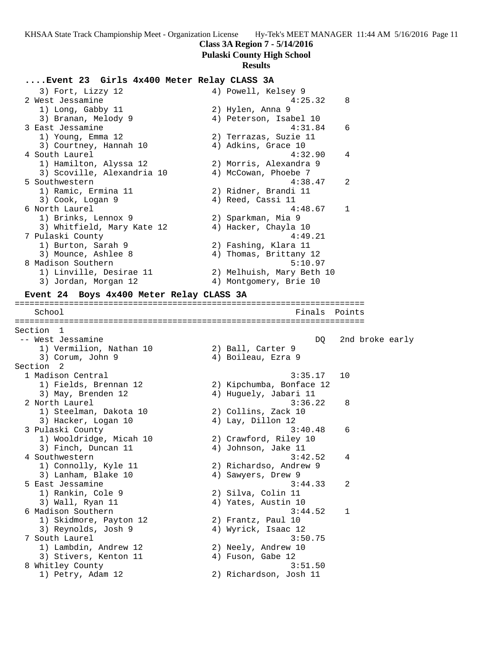### **Class 3A Region 7 - 5/14/2016**

**Pulaski County High School**

### **Results**

### **....Event 23 Girls 4x400 Meter Relay CLASS 3A**

| 3) Fort, Lizzy 12                        | 4) Powell, Kelsey 9       |
|------------------------------------------|---------------------------|
| 2 West Jessamine                         | 4:25.32<br>8              |
| 1) Long, Gabby 11                        | 2) Hylen, Anna 9          |
| 3) Branan, Melody 9                      | 4) Peterson, Isabel 10    |
| 3 East Jessamine                         | 4:31.84<br>6              |
| 1) Young, Emma 12                        | 2) Terrazas, Suzie 11     |
| 3) Courtney, Hannah 10                   | 4) Adkins, Grace 10       |
| 4 South Laurel                           | 4:32.90<br>4              |
| 1) Hamilton, Alyssa 12                   | 2) Morris, Alexandra 9    |
| 3) Scoville, Alexandria 10               | 4) McCowan, Phoebe 7      |
| 5 Southwestern                           | 4:38.47<br>2              |
| 1) Ramic, Ermina 11                      | 2) Ridner, Brandi 11      |
| 3) Cook, Logan 9                         | 4) Reed, Cassi 11         |
| 6 North Laurel                           | $\overline{1}$<br>4:48.67 |
| 1) Brinks, Lennox 9                      | 2) Sparkman, Mia 9        |
| 3) Whitfield, Mary Kate 12               | 4) Hacker, Chayla 10      |
| 7 Pulaski County                         | 4:49.21                   |
| 1) Burton, Sarah 9                       | 2) Fashing, Klara 11      |
| 3) Mounce, Ashlee 8                      | 4) Thomas, Brittany 12    |
| 8 Madison Southern                       | 5:10.97                   |
| 1) Linville, Desirae 11                  | 2) Melhuish, Mary Beth 10 |
| 3) Jordan, Morgan 12                     | 4) Montgomery, Brie 10    |
| Event 24 Boys 4x400 Meter Relay CLASS 3A |                           |

School **Finals Points** Points **Points** Points **Points** Points **Points** Points **Points** ======================================================================= Section 1 -- West Jessamine DQ 2nd broke early 1) Vermilion, Nathan 10  $\hspace{1cm}$  2) Ball, Carter 9 3) Corum, John 9 4) Boileau, Ezra 9 Section 2<br>1 Madison Central 1 Madison Central 3:35.17 10 1) Fields, Brennan 12 2) Kipchumba, Bonface 12 3) May, Brenden 12 4) Huguely, Jabari 11 2 North Laurel 3:36.22 8 1) Steelman, Dakota 10 2) Collins, Zack 10 3) Hacker, Logan 10  $\hskip1cm 4)$  Lay, Dillon 12 3 Pulaski County 3:40.48 6 1) Wooldridge, Micah 10 2) Crawford, Riley 10 3) Finch, Duncan 11 4) Johnson, Jake 11 4 Southwestern 3:42.52 4 1) Connolly, Kyle 11 2) Richardso, Andrew 9 3) Lanham, Blake 10 (4) Sawyers, Drew 9 5 East Jessamine 3:44.33 2 1) Rankin, Cole 9 2) Silva, Colin 11 3) Wall, Ryan 11 4) Yates, Austin 10 6 Madison Southern 3:44.52 1 1) Skidmore, Payton 12 2) Frantz, Paul 10 3) Reynolds, Josh 9 4) Wyrick, Isaac 12 7 South Laurel 3:50.75 1) Lambdin, Andrew 12 2) Neely, Andrew 10 3) Stivers, Kenton 11 (4) Fuson, Gabe 12 8 Whitley County **3:51.50** 1) Petry, Adam 12 2) Richardson, Josh 11